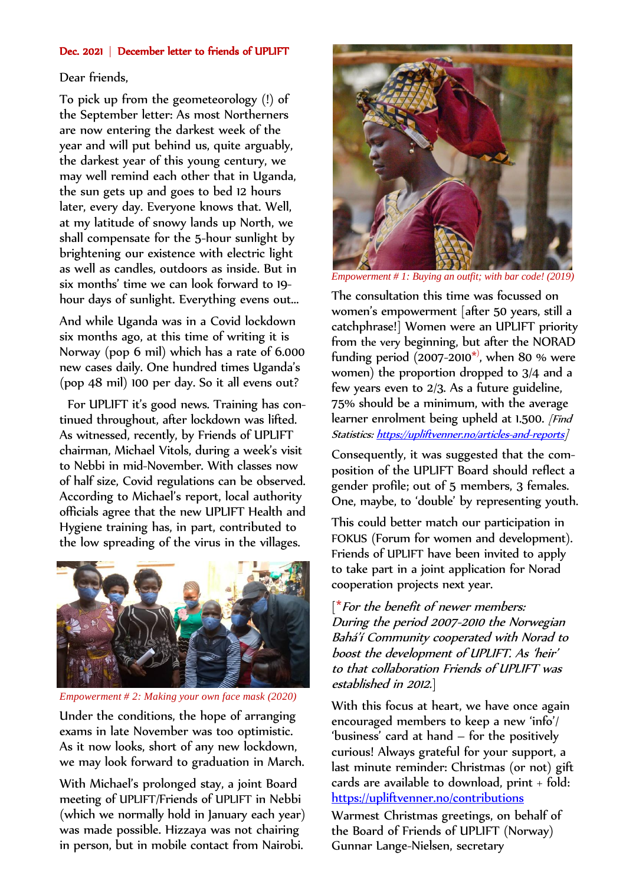## Dec. 2021 | December letter to friends of UPLIFT

## Dear friends,

To pick up from the geometeorology (!) of the September letter: As most Northerners are now entering the darkest week of the year and will put behind us, quite arguably, the darkest year of this young century, we may well remind each other that in Uganda, the sun gets up and goes to bed 12 hours later, every day. Everyone knows that. Well, at my latitude of snowy lands up North, we shall compensate for the 5-hour sunlight by brightening our existence with electric light as well as candles, outdoors as inside. But in six months' time we can look forward to 19 hour days of sunlight. Everything evens out...

And while Uganda was in a Covid lockdown six months ago, at this time of writing it is Norway (pop 6 mil) which has a rate of 6.000 new cases daily. One hundred times Uganda's (pop 48 mil) 100 per day. So it all evens out?

 For UPLIFT it's good news. Training has continued throughout, after lockdown was lifted. As witnessed, recently, by Friends of UPLIFT chairman, Michael Vitols, during a week's visit to Nebbi in mid-November. With classes now of half size, Covid regulations can be observed. According to Michael's report, local authority officials agree that the new UPLIFT Health and Hygiene training has, in part, contributed to the low spreading of the virus in the villages.



*Empowerment # 2: Making your own face mask (2020)*

Under the conditions, the hope of arranging exams in late November was too optimistic. As it now looks, short of any new lockdown, we may look forward to graduation in March.

With Michael's prolonged stay, a joint Board meeting of UPLIFT/Friends of UPLIFT in Nebbi (which we normally hold in January each year) was made possible. Hizzaya was not chairing in person, but in mobile contact from Nairobi.



*Empowerment # 1: Buying an outfit; with bar code! (2019)*

The consultation this time was focussed on women's empowerment [after 50 years, still a catchphrase!] Women were an UPLIFT priority from the very beginning, but after the NORAD funding period  $(2007 - 2010<sup>*</sup>)$ , when 80 % were women) the proportion dropped to 3/4 and a few years even to 2/3. As a future guideline, 75% should be a minimum, with the average learner enrolment being upheld at 1.500. *[Find*] Statistics: <https://upliftvenner.no/articles-and-reports>]

Consequently, it was suggested that the composition of the UPLIFT Board should reflect a gender profile; out of 5 members, 3 females. One, maybe, to 'double' by representing youth.

This could better match our participation in FOKUS (Forum for women and development). Friends of UPLIFT have been invited to apply to take part in a joint application for Norad cooperation projects next year.

 $\mathfrak{f}^*$  For the benefit of newer members: During the period 2007-2010 the Norwegian Bahá'í Community cooperated with Norad to boost the development of UPLIFT. As 'heir' to that collaboration Friends of UPLIFT was established in 2012.]

With this focus at heart, we have once again encouraged members to keep a new 'info'/ 'business' card at hand – for the positively curious! Always grateful for your support, a last minute reminder: Christmas (or not) gift cards are available to download,  $print + fold:$ <https://upliftvenner.no/contributions>

Warmest Christmas greetings, on behalf of the Board of Friends of UPLIFT (Norway) Gunnar Lange-Nielsen, secretary